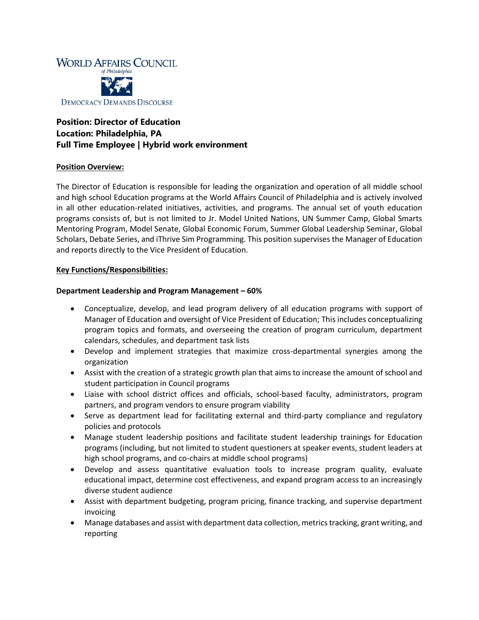

# **Position: Director of Education Location: Philadelphia, PA Full Time Employee | Hybrid work environment**

## **Position Overview:**

The Director of Education is responsible for leading the organization and operation of all middle school and high school Education programs at the World Affairs Council of Philadelphia and is actively involved in all other education-related initiatives, activities, and programs. The annual set of youth education programs consists of, but is not limited to Jr. Model United Nations, UN Summer Camp, Global Smarts Mentoring Program, Model Senate, Global Economic Forum, Summer Global Leadership Seminar, Global Scholars, Debate Series, and iThrive Sim Programming. This position supervises the Manager of Education and reports directly to the Vice President of Education.

## **Key Functions/Responsibilities:**

## **Department Leadership and Program Management – 60%**

- Conceptualize, develop, and lead program delivery of all education programs with support of Manager of Education and oversight of Vice President of Education; This includes conceptualizing program topics and formats, and overseeing the creation of program curriculum, department calendars, schedules, and department task lists
- Develop and implement strategies that maximize cross-departmental synergies among the organization
- Assist with the creation of a strategic growth plan that aims to increase the amount of school and student participation in Council programs
- Liaise with school district offices and officials, school-based faculty, administrators, program partners, and program vendors to ensure program viability
- Serve as department lead for facilitating external and third-party compliance and regulatory policies and protocols
- Manage student leadership positions and facilitate student leadership trainings for Education programs (including, but not limited to student questioners at speaker events, student leaders at high school programs, and co-chairs at middle school programs)
- Develop and assess quantitative evaluation tools to increase program quality, evaluate educational impact, determine cost effectiveness, and expand program access to an increasingly diverse student audience
- Assist with department budgeting, program pricing, finance tracking, and supervise department invoicing
- Manage databases and assist with department data collection, metrics tracking, grant writing, and reporting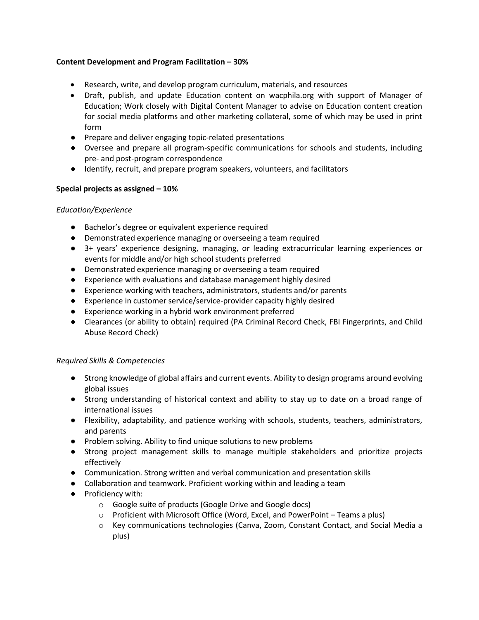## **Content Development and Program Facilitation – 30%**

- Research, write, and develop program curriculum, materials, and resources
- Draft, publish, and update Education content on wacphila.org with support of Manager of Education; Work closely with Digital Content Manager to advise on Education content creation for social media platforms and other marketing collateral, some of which may be used in print form
- Prepare and deliver engaging topic-related presentations
- Oversee and prepare all program-specific communications for schools and students, including pre- and post-program correspondence
- Identify, recruit, and prepare program speakers, volunteers, and facilitators

## **Special projects as assigned – 10%**

## *Education/Experience*

- Bachelor's degree or equivalent experience required
- Demonstrated experience managing or overseeing a team required
- 3+ years' experience designing, managing, or leading extracurricular learning experiences or events for middle and/or high school students preferred
- Demonstrated experience managing or overseeing a team required
- Experience with evaluations and database management highly desired
- Experience working with teachers, administrators, students and/or parents
- Experience in customer service/service-provider capacity highly desired
- Experience working in a hybrid work environment preferred
- Clearances (or ability to obtain) required (PA Criminal Record Check, FBI Fingerprints, and Child Abuse Record Check)

## *Required Skills & Competencies*

- Strong knowledge of global affairs and current events. Ability to design programs around evolving global issues
- Strong understanding of historical context and ability to stay up to date on a broad range of international issues
- Flexibility, adaptability, and patience working with schools, students, teachers, administrators, and parents
- Problem solving. Ability to find unique solutions to new problems
- Strong project management skills to manage multiple stakeholders and prioritize projects effectively
- Communication. Strong written and verbal communication and presentation skills
- Collaboration and teamwork. Proficient working within and leading a team
- Proficiency with:
	- o Google suite of products (Google Drive and Google docs)
	- o Proficient with Microsoft Office (Word, Excel, and PowerPoint Teams a plus)
	- o Key communications technologies (Canva, Zoom, Constant Contact, and Social Media a plus)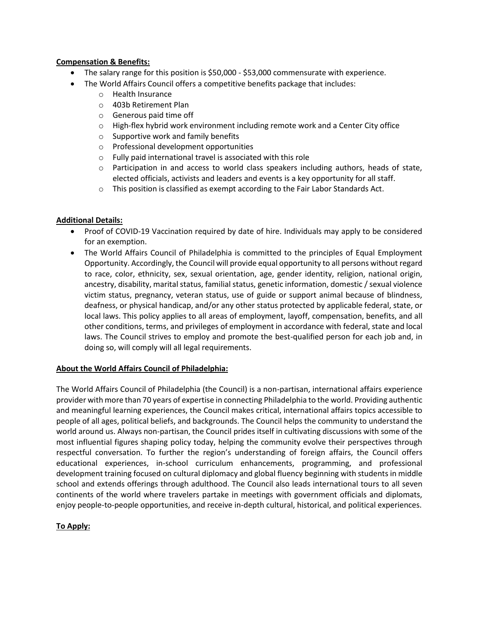## **Compensation & Benefits:**

- The salary range for this position is \$50,000 \$53,000 commensurate with experience.
- The World Affairs Council offers a competitive benefits package that includes:
	- o Health Insurance
	- o 403b Retirement Plan
	- o Generous paid time off
	- $\circ$  High-flex hybrid work environment including remote work and a Center City office
	- o Supportive work and family benefits
	- o Professional development opportunities
	- o Fully paid international travel is associated with this role
	- o Participation in and access to world class speakers including authors, heads of state, elected officials, activists and leaders and events is a key opportunity for all staff.
	- o This position is classified as exempt according to the Fair Labor Standards Act.

## **Additional Details:**

- Proof of COVID-19 Vaccination required by date of hire. Individuals may apply to be considered for an exemption.
- The World Affairs Council of Philadelphia is committed to the principles of Equal Employment Opportunity. Accordingly, the Council will provide equal opportunity to all persons without regard to race, color, ethnicity, sex, sexual orientation, age, gender identity, religion, national origin, ancestry, disability, marital status, familial status, genetic information, domestic / sexual violence victim status, pregnancy, veteran status, use of guide or support animal because of blindness, deafness, or physical handicap, and/or any other status protected by applicable federal, state, or local laws. This policy applies to all areas of employment, layoff, compensation, benefits, and all other conditions, terms, and privileges of employment in accordance with federal, state and local laws. The Council strives to employ and promote the best-qualified person for each job and, in doing so, will comply will all legal requirements.

## **About the World Affairs Council of Philadelphia:**

The World Affairs Council of Philadelphia (the Council) is a non-partisan, international affairs experience provider with more than 70 years of expertise in connecting Philadelphia to the world. Providing authentic and meaningful learning experiences, the Council makes critical, international affairs topics accessible to people of all ages, political beliefs, and backgrounds. The Council helps the community to understand the world around us. Always non-partisan, the Council prides itself in cultivating discussions with some of the most influential figures shaping policy today, helping the community evolve their perspectives through respectful conversation. To further the region's understanding of foreign affairs, the Council offers educational experiences, in-school curriculum enhancements, programming, and professional development training focused on cultural diplomacy and global fluency beginning with students in middle school and extends offerings through adulthood. The Council also leads international tours to all seven continents of the world where travelers partake in meetings with government officials and diplomats, enjoy people-to-people opportunities, and receive in-depth cultural, historical, and political experiences.

## **To Apply:**